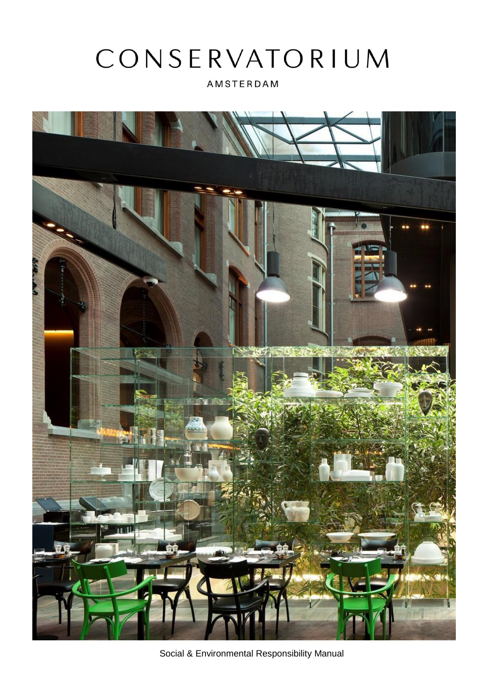# CONSERVATORIUM

AMSTERDAM



Social & Environmental Responsibility Manual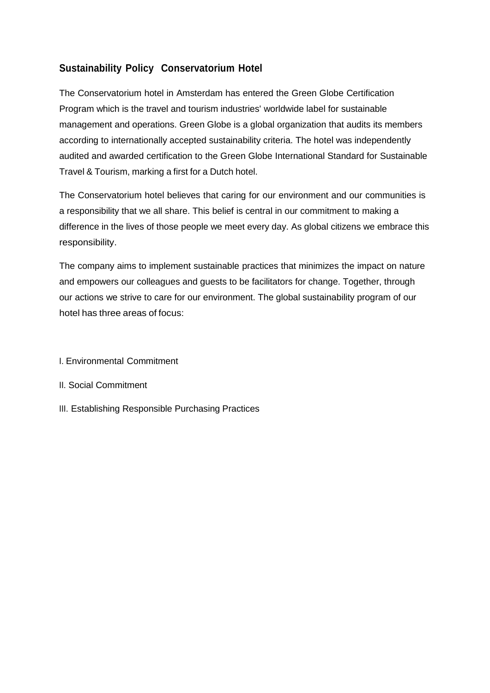# **Sustainability Policy Conservatorium Hotel**

The Conservatorium hotel in Amsterdam has entered the Green Globe Certification Program which is the travel and tourism industries' worldwide label for sustainable management and operations. Green Globe is a global organization that audits its members according to internationally accepted sustainability criteria. The hotel was independently audited and awarded certification to the Green Globe International Standard for Sustainable Travel & Tourism, marking a first for a Dutch hotel.

The Conservatorium hotel believes that caring for our environment and our communities is a responsibility that we all share. This belief is central in our commitment to making a difference in the lives of those people we meet every day. As global citizens we embrace this responsibility.

The company aims to implement sustainable practices that minimizes the impact on nature and empowers our colleagues and guests to be facilitators for change. Together, through our actions we strive to care for our environment. The global sustainability program of our hotel has three areas of focus:

- I. Environmental Commitment
- II. Social Commitment
- III. Establishing Responsible Purchasing Practices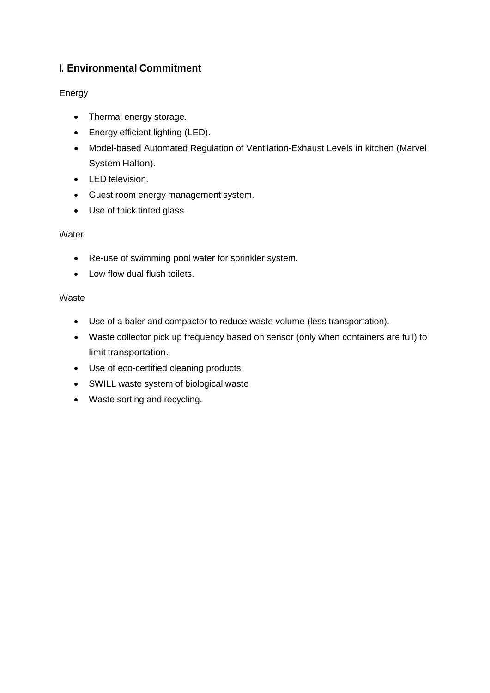# **I. Environmental Commitment**

## Energy

- Thermal energy storage.
- Energy efficient lighting (LED).
- Model-based Automated Regulation of Ventilation-Exhaust Levels in kitchen (Marvel System Halton).
- LED television.
- Guest room energy management system.
- Use of thick tinted glass.

#### **Water**

- Re-use of swimming pool water for sprinkler system.
- Low flow dual flush toilets.

#### **Waste**

- Use of a baler and compactor to reduce waste volume (less transportation).
- Waste collector pick up frequency based on sensor (only when containers are full) to limit transportation.
- Use of eco-certified cleaning products.
- SWILL waste system of biological waste
- Waste sorting and recycling.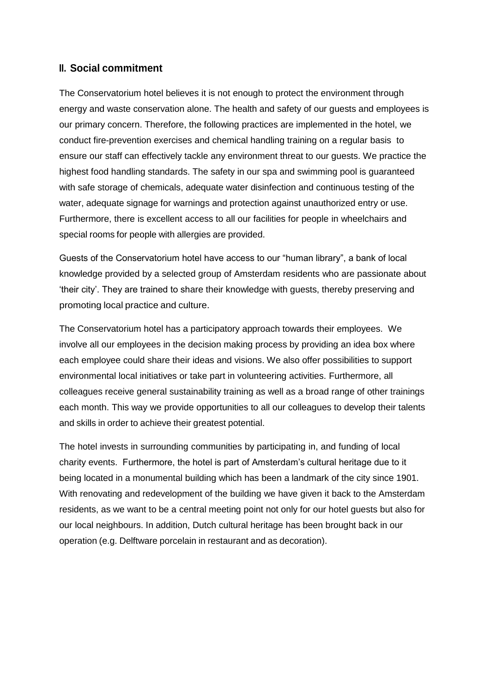#### **II. Social commitment**

The Conservatorium hotel believes it is not enough to protect the environment through energy and waste conservation alone. The health and safety of our guests and employees is our primary concern. Therefore, the following practices are implemented in the hotel, we conduct fire-prevention exercises and chemical handling training on a regular basis to ensure our staff can effectively tackle any environment threat to our guests. We practice the highest food handling standards. The safety in our spa and swimming pool is guaranteed with safe storage of chemicals, adequate water disinfection and continuous testing of the water, adequate signage for warnings and protection against unauthorized entry or use. Furthermore, there is excellent access to all our facilities for people in wheelchairs and special rooms for people with allergies are provided.

Guests of the Conservatorium hotel have access to our "human library", a bank of local knowledge provided by a selected group of Amsterdam residents who are passionate about 'their city'. They are trained to share their knowledge with guests, thereby preserving and promoting local practice and culture.

The Conservatorium hotel has a participatory approach towards their employees. We involve all our employees in the decision making process by providing an idea box where each employee could share their ideas and visions. We also offer possibilities to support environmental local initiatives or take part in volunteering activities. Furthermore, all colleagues receive general sustainability training as well as a broad range of other trainings each month. This way we provide opportunities to all our colleagues to develop their talents and skills in order to achieve their greatest potential.

The hotel invests in surrounding communities by participating in, and funding of local charity events. Furthermore, the hotel is part of Amsterdam's cultural heritage due to it being located in a monumental building which has been a landmark of the city since 1901. With renovating and redevelopment of the building we have given it back to the Amsterdam residents, as we want to be a central meeting point not only for our hotel guests but also for our local neighbours. In addition, Dutch cultural heritage has been brought back in our operation (e.g. Delftware porcelain in restaurant and as decoration).